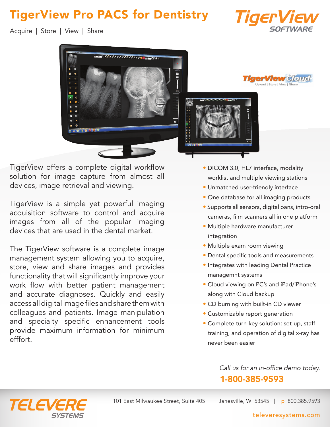## TigerView Pro PACS for Dentistry



Acquire | Store | View | Share



TigerView offers a complete digital workflow solution for image capture from almost all devices, image retrieval and viewing.

TigerView is a simple yet powerful imaging acquisition software to control and acquire images from all of the popular imaging devices that are used in the dental market.

The TigerView software is a complete image management system allowing you to acquire, store, view and share images and provides functionality that will significantly improve your work flow with better patient management and accurate diagnoses. Quickly and easily access all digital image files and share them with colleagues and patients. Image manipulation and specialty specific enhancement tools provide maximum information for minimum efffort.

- DICOM 3.0, HL7 interface, modality worklist and multiple viewing stations
- Unmatched user-friendly interface
- One database for all imaging products
- Supports all sensors, digital pans, intro-oral cameras, film scanners all in one platform
- Multiple hardware manufacturer integration
- Multiple exam room viewing
- Dental specific tools and measurements
- Integrates with leading Dental Practice managemnt systems
- Cloud viewing on PC's and iPad/iPhone's along with Cloud backup
- CD burning with built-in CD viewer
- Customizable report generation
- Complete turn-key solution: set-up, staff training, and operation of digital x-ray has never been easier

Call us for an in-office demo today. 1-800-385-9593



#### televeresystems.com